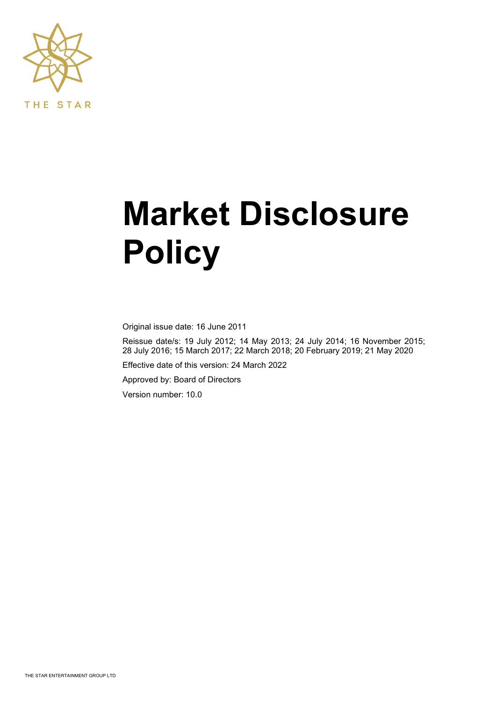

# **Market Disclosure Policy**

Original issue date: 16 June 2011

Reissue date/s: 19 July 2012; 14 May 2013; 24 July 2014; 16 November 2015; 28 July 2016; 15 March 2017; 22 March 2018; 20 February 2019; 21 May 2020

Effective date of this version: 24 March 2022

Approved by: Board of Directors

Version number: 10.0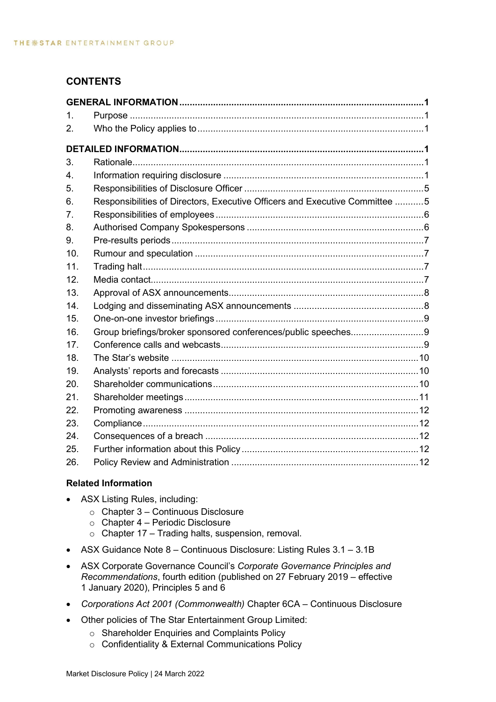# **CONTENTS**

| $\mathbf{1}$ . |                                                                             |  |
|----------------|-----------------------------------------------------------------------------|--|
| 2.             |                                                                             |  |
|                |                                                                             |  |
| 3.             |                                                                             |  |
| 4.             |                                                                             |  |
| 5.             |                                                                             |  |
| 6.             | Responsibilities of Directors, Executive Officers and Executive Committee 5 |  |
| 7 <sub>1</sub> |                                                                             |  |
| 8.             |                                                                             |  |
| 9.             |                                                                             |  |
| 10.            |                                                                             |  |
| 11.            |                                                                             |  |
| 12.            |                                                                             |  |
| 13.            |                                                                             |  |
| 14.            |                                                                             |  |
| 15.            |                                                                             |  |
| 16.            |                                                                             |  |
| 17.            |                                                                             |  |
| 18.            |                                                                             |  |
| 19.            |                                                                             |  |
| 20.            |                                                                             |  |
| 21.            |                                                                             |  |
| 22.            |                                                                             |  |
| 23.            |                                                                             |  |
| 24.            |                                                                             |  |
| 25.            |                                                                             |  |
| 26.            |                                                                             |  |

# **Related Information**

- ASX Listing Rules, including:
	- $\circ$  Chapter 3 Continuous Disclosure
	- o Chapter 4 Periodic Disclosure
	- $\circ$  Chapter 17 Trading halts, suspension, removal.
- ASX Guidance Note 8 Continuous Disclosure: Listing Rules 3.1 3.1B
- ASX Corporate Governance Council's *Corporate Governance Principles and Recommendations*, fourth edition (published on 27 February 2019 – effective 1 January 2020), Principles 5 and 6
- *Corporations Act 2001 (Commonwealth)* Chapter 6CA Continuous Disclosure
- Other policies of The Star Entertainment Group Limited:
	- o Shareholder Enquiries and Complaints Policy
	- o Confidentiality & External Communications Policy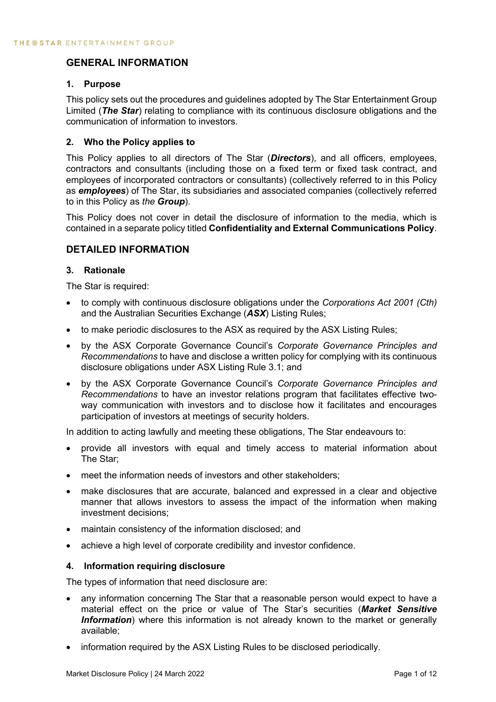# <span id="page-2-0"></span>**GENERAL INFORMATION**

## <span id="page-2-1"></span>**1. Purpose**

This policy sets out the procedures and guidelines adopted by The Star Entertainment Group Limited (*The Star*) relating to compliance with its continuous disclosure obligations and the communication of information to investors.

## <span id="page-2-2"></span>**2. Who the Policy applies to**

This Policy applies to all directors of The Star (*Directors*), and all officers, employees, contractors and consultants (including those on a fixed term or fixed task contract, and employees of incorporated contractors or consultants) (collectively referred to in this Policy as *employees*) of The Star, its subsidiaries and associated companies (collectively referred to in this Policy as *the Group*).

This Policy does not cover in detail the disclosure of information to the media, which is contained in a separate policy titled **Confidentiality and External Communications Policy**.

# <span id="page-2-3"></span>**DETAILED INFORMATION**

## <span id="page-2-4"></span>**3. Rationale**

The Star is required:

- to comply with continuous disclosure obligations under the *Corporations Act 2001 (Cth)* and the Australian Securities Exchange (*ASX*) Listing Rules;
- to make periodic disclosures to the ASX as required by the ASX Listing Rules;
- by the ASX Corporate Governance Council's *Corporate Governance Principles and Recommendations* to have and disclose a written policy for complying with its continuous disclosure obligations under ASX Listing Rule 3.1; and
- by the ASX Corporate Governance Council's *Corporate Governance Principles and Recommendations* to have an investor relations program that facilitates effective twoway communication with investors and to disclose how it facilitates and encourages participation of investors at meetings of security holders.

In addition to acting lawfully and meeting these obligations, The Star endeavours to:

- provide all investors with equal and timely access to material information about The Star;
- meet the information needs of investors and other stakeholders;
- make disclosures that are accurate, balanced and expressed in a clear and objective manner that allows investors to assess the impact of the information when making investment decisions;
- maintain consistency of the information disclosed; and
- achieve a high level of corporate credibility and investor confidence.

## <span id="page-2-5"></span>**4. Information requiring disclosure**

The types of information that need disclosure are:

- any information concerning The Star that a reasonable person would expect to have a material effect on the price or value of The Star's securities (*Market Sensitive Information*) where this information is not already known to the market or generally available;
- information required by the ASX Listing Rules to be disclosed periodically.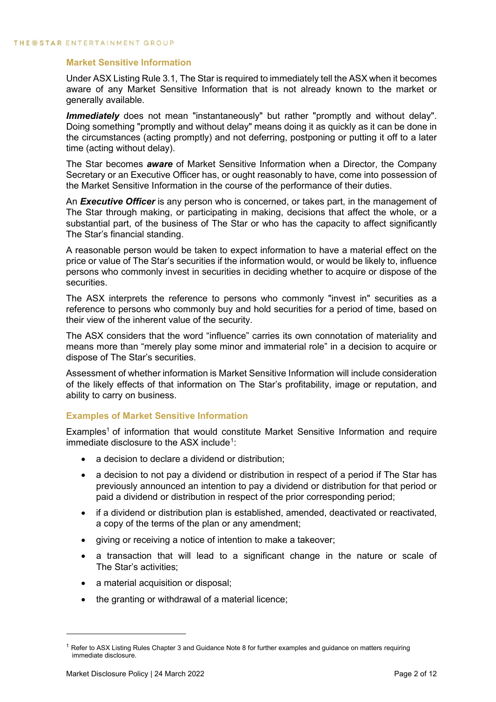## **Market Sensitive Information**

Under ASX Listing Rule 3.1, The Star is required to immediately tell the ASX when it becomes aware of any Market Sensitive Information that is not already known to the market or generally available.

**Immediately** does not mean "instantaneously" but rather "promptly and without delay". Doing something "promptly and without delay" means doing it as quickly as it can be done in the circumstances (acting promptly) and not deferring, postponing or putting it off to a later time (acting without delay).

The Star becomes *aware* of Market Sensitive Information when a Director, the Company Secretary or an Executive Officer has, or ought reasonably to have, come into possession of the Market Sensitive Information in the course of the performance of their duties.

An *Executive Officer* is any person who is concerned, or takes part, in the management of The Star through making, or participating in making, decisions that affect the whole, or a substantial part, of the business of The Star or who has the capacity to affect significantly The Star's financial standing.

A reasonable person would be taken to expect information to have a material effect on the price or value of The Star's securities if the information would, or would be likely to, influence persons who commonly invest in securities in deciding whether to acquire or dispose of the securities.

The ASX interprets the reference to persons who commonly "invest in" securities as a reference to persons who commonly buy and hold securities for a period of time, based on their view of the inherent value of the security.

The ASX considers that the word "influence" carries its own connotation of materiality and means more than "merely play some minor and immaterial role" in a decision to acquire or dispose of The Star's securities.

Assessment of whether information is Market Sensitive Information will include consideration of the likely effects of that information on The Star's profitability, image or reputation, and ability to carry on business.

# **Examples of Market Sensitive Information**

Examples<sup>1</sup> of information that would constitute Market Sensitive Information and require immediate disclosure to the ASX include<sup>[1](#page-3-0)</sup>:

- a decision to declare a dividend or distribution:
- a decision to not pay a dividend or distribution in respect of a period if The Star has previously announced an intention to pay a dividend or distribution for that period or paid a dividend or distribution in respect of the prior corresponding period;
- if a dividend or distribution plan is established, amended, deactivated or reactivated, a copy of the terms of the plan or any amendment;
- giving or receiving a notice of intention to make a takeover;
- a transaction that will lead to a significant change in the nature or scale of The Star's activities;
- a material acquisition or disposal;
- the granting or withdrawal of a material licence;

<span id="page-3-0"></span> $1$  Refer to ASX Listing Rules Chapter 3 and Guidance Note 8 for further examples and guidance on matters requiring immediate disclosure.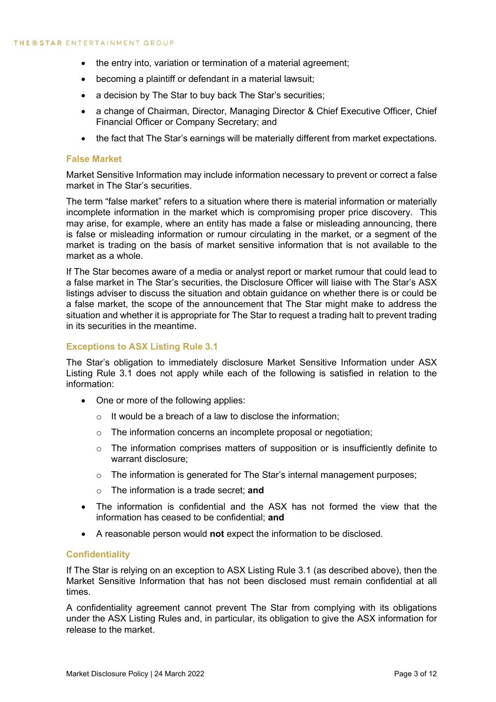- the entry into, variation or termination of a material agreement;
- becoming a plaintiff or defendant in a material lawsuit;
- a decision by The Star to buy back The Star's securities;
- a change of Chairman, Director, Managing Director & Chief Executive Officer, Chief Financial Officer or Company Secretary; and
- the fact that The Star's earnings will be materially different from market expectations.

## **False Market**

Market Sensitive Information may include information necessary to prevent or correct a false market in The Star's securities.

The term "false market" refers to a situation where there is material information or materially incomplete information in the market which is compromising proper price discovery. This may arise, for example, where an entity has made a false or misleading announcing, there is false or misleading information or rumour circulating in the market, or a segment of the market is trading on the basis of market sensitive information that is not available to the market as a whole.

If The Star becomes aware of a media or analyst report or market rumour that could lead to a false market in The Star's securities, the Disclosure Officer will liaise with The Star's ASX listings adviser to discuss the situation and obtain guidance on whether there is or could be a false market, the scope of the announcement that The Star might make to address the situation and whether it is appropriate for The Star to request a trading halt to prevent trading in its securities in the meantime.

## **Exceptions to ASX Listing Rule 3.1**

The Star's obligation to immediately disclosure Market Sensitive Information under ASX Listing Rule 3.1 does not apply while each of the following is satisfied in relation to the information:

- One or more of the following applies:
	- $\circ$  It would be a breach of a law to disclose the information:
	- o The information concerns an incomplete proposal or negotiation;
	- o The information comprises matters of supposition or is insufficiently definite to warrant disclosure;
	- $\circ$  The information is generated for The Star's internal management purposes;
	- o The information is a trade secret; **and**
- The information is confidential and the ASX has not formed the view that the information has ceased to be confidential; **and**
- A reasonable person would **not** expect the information to be disclosed.

## **Confidentiality**

If The Star is relying on an exception to ASX Listing Rule 3.1 (as described above), then the Market Sensitive Information that has not been disclosed must remain confidential at all times.

A confidentiality agreement cannot prevent The Star from complying with its obligations under the ASX Listing Rules and, in particular, its obligation to give the ASX information for release to the market.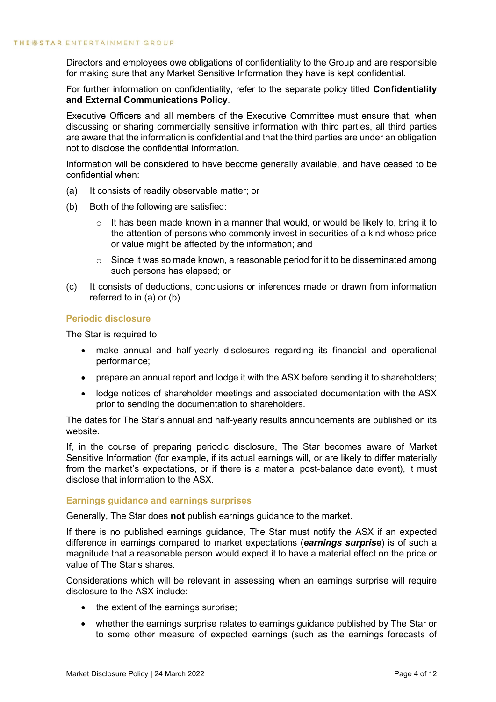Directors and employees owe obligations of confidentiality to the Group and are responsible for making sure that any Market Sensitive Information they have is kept confidential.

For further information on confidentiality, refer to the separate policy titled **Confidentiality and External Communications Policy**.

Executive Officers and all members of the Executive Committee must ensure that, when discussing or sharing commercially sensitive information with third parties, all third parties are aware that the information is confidential and that the third parties are under an obligation not to disclose the confidential information.

Information will be considered to have become generally available, and have ceased to be confidential when:

- (a) It consists of readily observable matter; or
- (b) Both of the following are satisfied:
	- $\circ$  It has been made known in a manner that would, or would be likely to, bring it to the attention of persons who commonly invest in securities of a kind whose price or value might be affected by the information; and
	- $\circ$  Since it was so made known, a reasonable period for it to be disseminated among such persons has elapsed; or
- (c) It consists of deductions, conclusions or inferences made or drawn from information referred to in (a) or (b).

#### **Periodic disclosure**

The Star is required to:

- make annual and half-yearly disclosures regarding its financial and operational performance;
- prepare an annual report and lodge it with the ASX before sending it to shareholders;
- lodge notices of shareholder meetings and associated documentation with the ASX prior to sending the documentation to shareholders.

The dates for The Star's annual and half-yearly results announcements are published on its website.

If, in the course of preparing periodic disclosure, The Star becomes aware of Market Sensitive Information (for example, if its actual earnings will, or are likely to differ materially from the market's expectations, or if there is a material post-balance date event), it must disclose that information to the ASX.

## **Earnings guidance and earnings surprises**

Generally, The Star does **not** publish earnings guidance to the market.

If there is no published earnings guidance, The Star must notify the ASX if an expected difference in earnings compared to market expectations (*earnings surprise*) is of such a magnitude that a reasonable person would expect it to have a material effect on the price or value of The Star's shares.

Considerations which will be relevant in assessing when an earnings surprise will require disclosure to the ASX include:

- the extent of the earnings surprise;
- whether the earnings surprise relates to earnings guidance published by The Star or to some other measure of expected earnings (such as the earnings forecasts of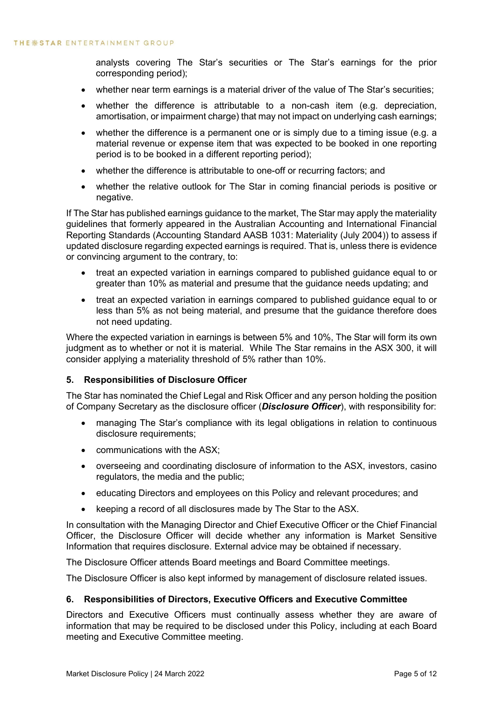analysts covering The Star's securities or The Star's earnings for the prior corresponding period);

- whether near term earnings is a material driver of the value of The Star's securities;
- whether the difference is attributable to a non-cash item (e.g. depreciation, amortisation, or impairment charge) that may not impact on underlying cash earnings;
- whether the difference is a permanent one or is simply due to a timing issue (e.g. a material revenue or expense item that was expected to be booked in one reporting period is to be booked in a different reporting period);
- whether the difference is attributable to one-off or recurring factors; and
- whether the relative outlook for The Star in coming financial periods is positive or negative.

If The Star has published earnings guidance to the market, The Star may apply the materiality guidelines that formerly appeared in the Australian Accounting and International Financial Reporting Standards (Accounting Standard AASB 1031: Materiality (July 2004)) to assess if updated disclosure regarding expected earnings is required. That is, unless there is evidence or convincing argument to the contrary, to:

- treat an expected variation in earnings compared to published guidance equal to or greater than 10% as material and presume that the guidance needs updating; and
- treat an expected variation in earnings compared to published guidance equal to or less than 5% as not being material, and presume that the guidance therefore does not need updating.

Where the expected variation in earnings is between 5% and 10%, The Star will form its own judgment as to whether or not it is material. While The Star remains in the ASX 300, it will consider applying a materiality threshold of 5% rather than 10%.

## <span id="page-6-0"></span>**5. Responsibilities of Disclosure Officer**

The Star has nominated the Chief Legal and Risk Officer and any person holding the position of Company Secretary as the disclosure officer (*Disclosure Officer*), with responsibility for:

- managing The Star's compliance with its legal obligations in relation to continuous disclosure requirements;
- communications with the ASX;
- overseeing and coordinating disclosure of information to the ASX, investors, casino regulators, the media and the public;
- educating Directors and employees on this Policy and relevant procedures; and
- keeping a record of all disclosures made by The Star to the ASX.

In consultation with the Managing Director and Chief Executive Officer or the Chief Financial Officer, the Disclosure Officer will decide whether any information is Market Sensitive Information that requires disclosure. External advice may be obtained if necessary.

The Disclosure Officer attends Board meetings and Board Committee meetings.

The Disclosure Officer is also kept informed by management of disclosure related issues.

## <span id="page-6-1"></span>**6. Responsibilities of Directors, Executive Officers and Executive Committee**

Directors and Executive Officers must continually assess whether they are aware of information that may be required to be disclosed under this Policy, including at each Board meeting and Executive Committee meeting.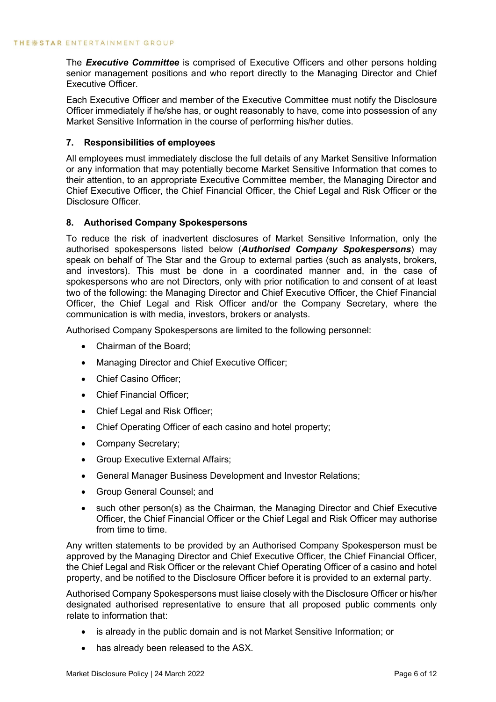The *Executive Committee* is comprised of Executive Officers and other persons holding senior management positions and who report directly to the Managing Director and Chief Executive Officer.

Each Executive Officer and member of the Executive Committee must notify the Disclosure Officer immediately if he/she has, or ought reasonably to have, come into possession of any Market Sensitive Information in the course of performing his/her duties.

## <span id="page-7-0"></span>**7. Responsibilities of employees**

All employees must immediately disclose the full details of any Market Sensitive Information or any information that may potentially become Market Sensitive Information that comes to their attention, to an appropriate Executive Committee member, the Managing Director and Chief Executive Officer, the Chief Financial Officer, the Chief Legal and Risk Officer or the Disclosure Officer.

## <span id="page-7-1"></span>**8. Authorised Company Spokespersons**

To reduce the risk of inadvertent disclosures of Market Sensitive Information, only the authorised spokespersons listed below (*Authorised Company Spokespersons*) may speak on behalf of The Star and the Group to external parties (such as analysts, brokers, and investors). This must be done in a coordinated manner and, in the case of spokespersons who are not Directors, only with prior notification to and consent of at least two of the following: the Managing Director and Chief Executive Officer, the Chief Financial Officer, the Chief Legal and Risk Officer and/or the Company Secretary, where the communication is with media, investors, brokers or analysts.

Authorised Company Spokespersons are limited to the following personnel:

- Chairman of the Board;
- Managing Director and Chief Executive Officer;
- Chief Casino Officer;
- Chief Financial Officer;
- Chief Legal and Risk Officer;
- Chief Operating Officer of each casino and hotel property;
- Company Secretary;
- Group Executive External Affairs;
- General Manager Business Development and Investor Relations;
- Group General Counsel; and
- such other person(s) as the Chairman, the Managing Director and Chief Executive Officer, the Chief Financial Officer or the Chief Legal and Risk Officer may authorise from time to time.

Any written statements to be provided by an Authorised Company Spokesperson must be approved by the Managing Director and Chief Executive Officer, the Chief Financial Officer, the Chief Legal and Risk Officer or the relevant Chief Operating Officer of a casino and hotel property, and be notified to the Disclosure Officer before it is provided to an external party.

Authorised Company Spokespersons must liaise closely with the Disclosure Officer or his/her designated authorised representative to ensure that all proposed public comments only relate to information that:

- is already in the public domain and is not Market Sensitive Information; or
- has already been released to the ASX.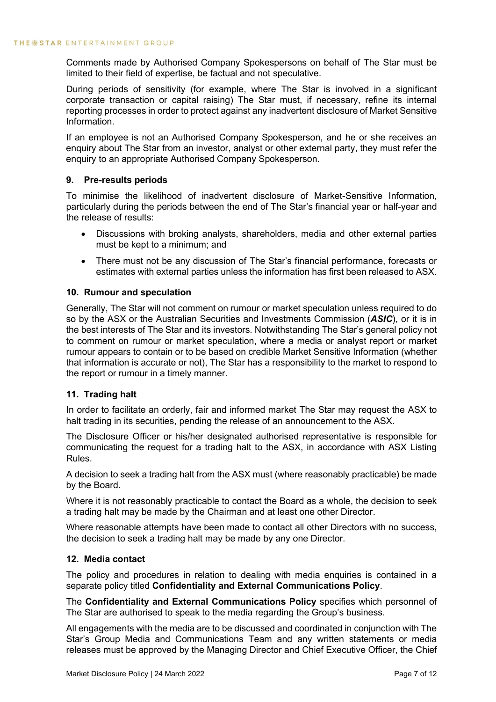Comments made by Authorised Company Spokespersons on behalf of The Star must be limited to their field of expertise, be factual and not speculative.

During periods of sensitivity (for example, where The Star is involved in a significant corporate transaction or capital raising) The Star must, if necessary, refine its internal reporting processes in order to protect against any inadvertent disclosure of Market Sensitive Information.

If an employee is not an Authorised Company Spokesperson, and he or she receives an enquiry about The Star from an investor, analyst or other external party, they must refer the enquiry to an appropriate Authorised Company Spokesperson.

## <span id="page-8-0"></span>**9. Pre-results periods**

To minimise the likelihood of inadvertent disclosure of Market-Sensitive Information, particularly during the periods between the end of The Star's financial year or half-year and the release of results:

- Discussions with broking analysts, shareholders, media and other external parties must be kept to a minimum; and
- There must not be any discussion of The Star's financial performance, forecasts or estimates with external parties unless the information has first been released to ASX.

## <span id="page-8-1"></span>**10. Rumour and speculation**

Generally, The Star will not comment on rumour or market speculation unless required to do so by the ASX or the Australian Securities and Investments Commission (*ASIC*), or it is in the best interests of The Star and its investors. Notwithstanding The Star's general policy not to comment on rumour or market speculation, where a media or analyst report or market rumour appears to contain or to be based on credible Market Sensitive Information (whether that information is accurate or not), The Star has a responsibility to the market to respond to the report or rumour in a timely manner.

## <span id="page-8-2"></span>**11. Trading halt**

In order to facilitate an orderly, fair and informed market The Star may request the ASX to halt trading in its securities, pending the release of an announcement to the ASX.

The Disclosure Officer or his/her designated authorised representative is responsible for communicating the request for a trading halt to the ASX, in accordance with ASX Listing Rules.

A decision to seek a trading halt from the ASX must (where reasonably practicable) be made by the Board.

Where it is not reasonably practicable to contact the Board as a whole, the decision to seek a trading halt may be made by the Chairman and at least one other Director.

Where reasonable attempts have been made to contact all other Directors with no success, the decision to seek a trading halt may be made by any one Director.

## <span id="page-8-3"></span>**12. Media contact**

The policy and procedures in relation to dealing with media enquiries is contained in a separate policy titled **Confidentiality and External Communications Policy**.

The **Confidentiality and External Communications Policy** specifies which personnel of The Star are authorised to speak to the media regarding the Group's business.

All engagements with the media are to be discussed and coordinated in conjunction with The Star's Group Media and Communications Team and any written statements or media releases must be approved by the Managing Director and Chief Executive Officer, the Chief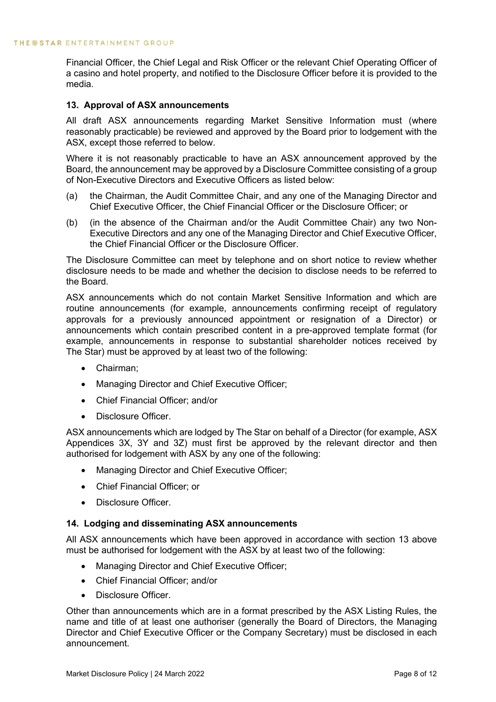Financial Officer, the Chief Legal and Risk Officer or the relevant Chief Operating Officer of a casino and hotel property, and notified to the Disclosure Officer before it is provided to the media.

## <span id="page-9-0"></span>**13. Approval of ASX announcements**

All draft ASX announcements regarding Market Sensitive Information must (where reasonably practicable) be reviewed and approved by the Board prior to lodgement with the ASX, except those referred to below.

Where it is not reasonably practicable to have an ASX announcement approved by the Board, the announcement may be approved by a Disclosure Committee consisting of a group of Non-Executive Directors and Executive Officers as listed below:

- (a) the Chairman, the Audit Committee Chair, and any one of the Managing Director and Chief Executive Officer, the Chief Financial Officer or the Disclosure Officer; or
- (b) (in the absence of the Chairman and/or the Audit Committee Chair) any two Non-Executive Directors and any one of the Managing Director and Chief Executive Officer, the Chief Financial Officer or the Disclosure Officer.

The Disclosure Committee can meet by telephone and on short notice to review whether disclosure needs to be made and whether the decision to disclose needs to be referred to the Board.

ASX announcements which do not contain Market Sensitive Information and which are routine announcements (for example, announcements confirming receipt of regulatory approvals for a previously announced appointment or resignation of a Director) or announcements which contain prescribed content in a pre-approved template format (for example, announcements in response to substantial shareholder notices received by The Star) must be approved by at least two of the following:

- Chairman;
- Managing Director and Chief Executive Officer;
- Chief Financial Officer; and/or
- Disclosure Officer.

ASX announcements which are lodged by The Star on behalf of a Director (for example, ASX Appendices 3X, 3Y and 3Z) must first be approved by the relevant director and then authorised for lodgement with ASX by any one of the following:

- Managing Director and Chief Executive Officer;
- Chief Financial Officer; or
- Disclosure Officer.

## <span id="page-9-1"></span>**14. Lodging and disseminating ASX announcements**

All ASX announcements which have been approved in accordance with section 13 above must be authorised for lodgement with the ASX by at least two of the following:

- Managing Director and Chief Executive Officer;
- Chief Financial Officer; and/or
- Disclosure Officer.

Other than announcements which are in a format prescribed by the ASX Listing Rules, the name and title of at least one authoriser (generally the Board of Directors, the Managing Director and Chief Executive Officer or the Company Secretary) must be disclosed in each announcement.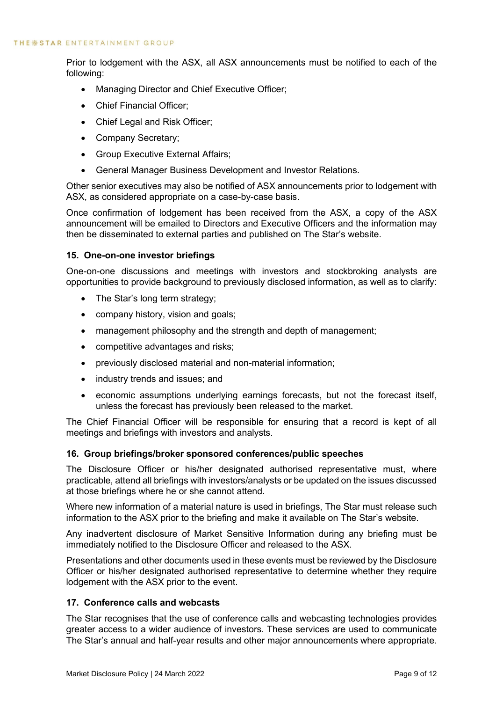Prior to lodgement with the ASX, all ASX announcements must be notified to each of the following:

- Managing Director and Chief Executive Officer;
- Chief Financial Officer;
- Chief Legal and Risk Officer;
- Company Secretary;
- Group Executive External Affairs;
- General Manager Business Development and Investor Relations.

Other senior executives may also be notified of ASX announcements prior to lodgement with ASX, as considered appropriate on a case-by-case basis.

Once confirmation of lodgement has been received from the ASX, a copy of the ASX announcement will be emailed to Directors and Executive Officers and the information may then be disseminated to external parties and published on The Star's website.

## <span id="page-10-0"></span>**15. One-on-one investor briefings**

One-on-one discussions and meetings with investors and stockbroking analysts are opportunities to provide background to previously disclosed information, as well as to clarify:

- The Star's long term strategy:
- company history, vision and goals;
- management philosophy and the strength and depth of management;
- competitive advantages and risks;
- previously disclosed material and non-material information;
- industry trends and issues; and
- economic assumptions underlying earnings forecasts, but not the forecast itself, unless the forecast has previously been released to the market.

The Chief Financial Officer will be responsible for ensuring that a record is kept of all meetings and briefings with investors and analysts.

## <span id="page-10-1"></span>**16. Group briefings/broker sponsored conferences/public speeches**

The Disclosure Officer or his/her designated authorised representative must, where practicable, attend all briefings with investors/analysts or be updated on the issues discussed at those briefings where he or she cannot attend.

Where new information of a material nature is used in briefings, The Star must release such information to the ASX prior to the briefing and make it available on The Star's website.

Any inadvertent disclosure of Market Sensitive Information during any briefing must be immediately notified to the Disclosure Officer and released to the ASX.

Presentations and other documents used in these events must be reviewed by the Disclosure Officer or his/her designated authorised representative to determine whether they require lodgement with the ASX prior to the event.

## <span id="page-10-2"></span>**17. Conference calls and webcasts**

The Star recognises that the use of conference calls and webcasting technologies provides greater access to a wider audience of investors. These services are used to communicate The Star's annual and half-year results and other major announcements where appropriate.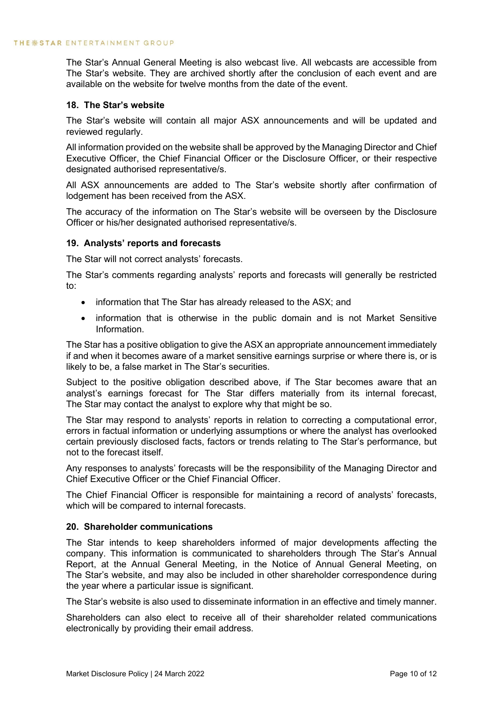The Star's Annual General Meeting is also webcast live. All webcasts are accessible from The Star's website. They are archived shortly after the conclusion of each event and are available on the website for twelve months from the date of the event.

## <span id="page-11-0"></span>**18. The Star's website**

The Star's website will contain all major ASX announcements and will be updated and reviewed regularly.

All information provided on the website shall be approved by the Managing Director and Chief Executive Officer, the Chief Financial Officer or the Disclosure Officer, or their respective designated authorised representative/s.

All ASX announcements are added to The Star's website shortly after confirmation of lodgement has been received from the ASX.

The accuracy of the information on The Star's website will be overseen by the Disclosure Officer or his/her designated authorised representative/s.

## <span id="page-11-1"></span>**19. Analysts' reports and forecasts**

The Star will not correct analysts' forecasts.

The Star's comments regarding analysts' reports and forecasts will generally be restricted to:

- information that The Star has already released to the ASX; and
- information that is otherwise in the public domain and is not Market Sensitive Information.

The Star has a positive obligation to give the ASX an appropriate announcement immediately if and when it becomes aware of a market sensitive earnings surprise or where there is, or is likely to be, a false market in The Star's securities.

Subject to the positive obligation described above, if The Star becomes aware that an analyst's earnings forecast for The Star differs materially from its internal forecast, The Star may contact the analyst to explore why that might be so.

The Star may respond to analysts' reports in relation to correcting a computational error, errors in factual information or underlying assumptions or where the analyst has overlooked certain previously disclosed facts, factors or trends relating to The Star's performance, but not to the forecast itself.

Any responses to analysts' forecasts will be the responsibility of the Managing Director and Chief Executive Officer or the Chief Financial Officer.

The Chief Financial Officer is responsible for maintaining a record of analysts' forecasts, which will be compared to internal forecasts.

## <span id="page-11-2"></span>**20. Shareholder communications**

The Star intends to keep shareholders informed of major developments affecting the company. This information is communicated to shareholders through The Star's Annual Report, at the Annual General Meeting, in the Notice of Annual General Meeting, on The Star's website, and may also be included in other shareholder correspondence during the year where a particular issue is significant.

The Star's website is also used to disseminate information in an effective and timely manner.

Shareholders can also elect to receive all of their shareholder related communications electronically by providing their email address.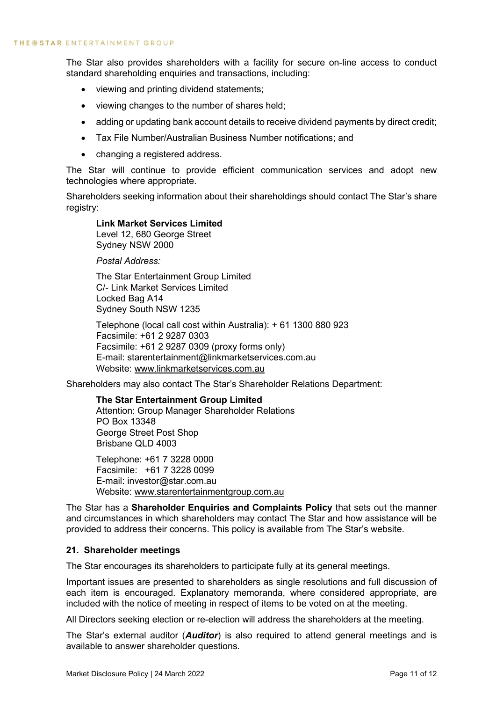The Star also provides shareholders with a facility for secure on-line access to conduct standard shareholding enquiries and transactions, including:

- viewing and printing dividend statements;
- viewing changes to the number of shares held;
- adding or updating bank account details to receive dividend payments by direct credit;
- Tax File Number/Australian Business Number notifications; and
- changing a registered address.

The Star will continue to provide efficient communication services and adopt new technologies where appropriate.

Shareholders seeking information about their shareholdings should contact The Star's share registry:

## **Link Market Services Limited**

Level 12, 680 George Street Sydney NSW 2000

*Postal Address:*

The Star Entertainment Group Limited C/- Link Market Services Limited Locked Bag A14 Sydney South NSW 1235

Telephone (local call cost within Australia): + 61 1300 880 923 Facsimile: +61 2 9287 0303 Facsimile: +61 2 9287 0309 (proxy forms only) E-mail: starentertainment@linkmarketservices.com.au Website: [www.linkmarketservices.com.au](http://www.linkmarketservices.com.au/)

Shareholders may also contact The Star's Shareholder Relations Department:

## **The Star Entertainment Group Limited**

Attention: Group Manager Shareholder Relations PO Box 13348 George Street Post Shop Brisbane QLD 4003

Telephone: +61 7 3228 0000 Facsimile: +61 7 3228 0099 E-mail: investor@star.com.au Website: [www.starentertainmentgroup.com.au](http://www.starentertainmentgroup.com.au/)

The Star has a **Shareholder Enquiries and Complaints Policy** that sets out the manner and circumstances in which shareholders may contact The Star and how assistance will be provided to address their concerns. This policy is available from The Star's website.

## <span id="page-12-0"></span>**21. Shareholder meetings**

The Star encourages its shareholders to participate fully at its general meetings.

Important issues are presented to shareholders as single resolutions and full discussion of each item is encouraged. Explanatory memoranda, where considered appropriate, are included with the notice of meeting in respect of items to be voted on at the meeting.

All Directors seeking election or re-election will address the shareholders at the meeting.

The Star's external auditor (*Auditor*) is also required to attend general meetings and is available to answer shareholder questions.